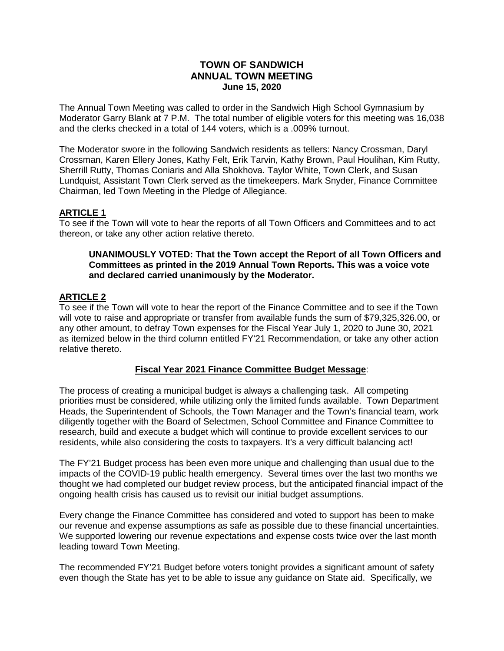## **TOWN OF SANDWICH ANNUAL TOWN MEETING June 15, 2020**

The Annual Town Meeting was called to order in the Sandwich High School Gymnasium by Moderator Garry Blank at 7 P.M. The total number of eligible voters for this meeting was 16,038 and the clerks checked in a total of 144 voters, which is a .009% turnout.

The Moderator swore in the following Sandwich residents as tellers: Nancy Crossman, Daryl Crossman, Karen Ellery Jones, Kathy Felt, Erik Tarvin, Kathy Brown, Paul Houlihan, Kim Rutty, Sherrill Rutty, Thomas Coniaris and Alla Shokhova. Taylor White, Town Clerk, and Susan Lundquist, Assistant Town Clerk served as the timekeepers. Mark Snyder, Finance Committee Chairman, led Town Meeting in the Pledge of Allegiance.

# **ARTICLE 1**

To see if the Town will vote to hear the reports of all Town Officers and Committees and to act thereon, or take any other action relative thereto.

#### **UNANIMOUSLY VOTED: That the Town accept the Report of all Town Officers and Committees as printed in the 2019 Annual Town Reports. This was a voice vote and declared carried unanimously by the Moderator.**

## **ARTICLE 2**

To see if the Town will vote to hear the report of the Finance Committee and to see if the Town will vote to raise and appropriate or transfer from available funds the sum of \$79,325,326.00, or any other amount, to defray Town expenses for the Fiscal Year July 1, 2020 to June 30, 2021 as itemized below in the third column entitled FY'21 Recommendation, or take any other action relative thereto.

## **Fiscal Year 2021 Finance Committee Budget Message**:

The process of creating a municipal budget is always a challenging task. All competing priorities must be considered, while utilizing only the limited funds available. Town Department Heads, the Superintendent of Schools, the Town Manager and the Town's financial team, work diligently together with the Board of Selectmen, School Committee and Finance Committee to research, build and execute a budget which will continue to provide excellent services to our residents, while also considering the costs to taxpayers. It's a very difficult balancing act!

The FY'21 Budget process has been even more unique and challenging than usual due to the impacts of the COVID-19 public health emergency. Several times over the last two months we thought we had completed our budget review process, but the anticipated financial impact of the ongoing health crisis has caused us to revisit our initial budget assumptions.

Every change the Finance Committee has considered and voted to support has been to make our revenue and expense assumptions as safe as possible due to these financial uncertainties. We supported lowering our revenue expectations and expense costs twice over the last month leading toward Town Meeting.

The recommended FY'21 Budget before voters tonight provides a significant amount of safety even though the State has yet to be able to issue any guidance on State aid. Specifically, we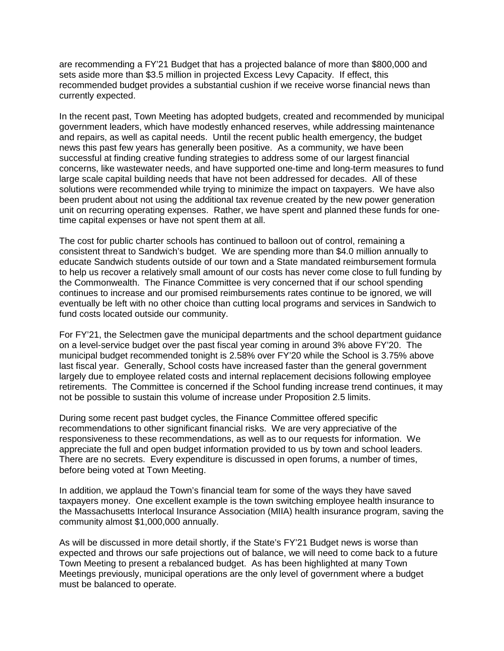are recommending a FY'21 Budget that has a projected balance of more than \$800,000 and sets aside more than \$3.5 million in projected Excess Levy Capacity. If effect, this recommended budget provides a substantial cushion if we receive worse financial news than currently expected.

In the recent past, Town Meeting has adopted budgets, created and recommended by municipal government leaders, which have modestly enhanced reserves, while addressing maintenance and repairs, as well as capital needs. Until the recent public health emergency, the budget news this past few years has generally been positive. As a community, we have been successful at finding creative funding strategies to address some of our largest financial concerns, like wastewater needs, and have supported one-time and long-term measures to fund large scale capital building needs that have not been addressed for decades. All of these solutions were recommended while trying to minimize the impact on taxpayers. We have also been prudent about not using the additional tax revenue created by the new power generation unit on recurring operating expenses. Rather, we have spent and planned these funds for onetime capital expenses or have not spent them at all.

The cost for public charter schools has continued to balloon out of control, remaining a consistent threat to Sandwich's budget. We are spending more than \$4.0 million annually to educate Sandwich students outside of our town and a State mandated reimbursement formula to help us recover a relatively small amount of our costs has never come close to full funding by the Commonwealth. The Finance Committee is very concerned that if our school spending continues to increase and our promised reimbursements rates continue to be ignored, we will eventually be left with no other choice than cutting local programs and services in Sandwich to fund costs located outside our community.

For FY'21, the Selectmen gave the municipal departments and the school department guidance on a level-service budget over the past fiscal year coming in around 3% above FY'20. The municipal budget recommended tonight is 2.58% over FY'20 while the School is 3.75% above last fiscal year. Generally, School costs have increased faster than the general government largely due to employee related costs and internal replacement decisions following employee retirements. The Committee is concerned if the School funding increase trend continues, it may not be possible to sustain this volume of increase under Proposition 2.5 limits.

During some recent past budget cycles, the Finance Committee offered specific recommendations to other significant financial risks. We are very appreciative of the responsiveness to these recommendations, as well as to our requests for information. We appreciate the full and open budget information provided to us by town and school leaders. There are no secrets. Every expenditure is discussed in open forums, a number of times, before being voted at Town Meeting.

In addition, we applaud the Town's financial team for some of the ways they have saved taxpayers money. One excellent example is the town switching employee health insurance to the Massachusetts Interlocal Insurance Association (MIIA) health insurance program, saving the community almost \$1,000,000 annually.

As will be discussed in more detail shortly, if the State's FY'21 Budget news is worse than expected and throws our safe projections out of balance, we will need to come back to a future Town Meeting to present a rebalanced budget. As has been highlighted at many Town Meetings previously, municipal operations are the only level of government where a budget must be balanced to operate.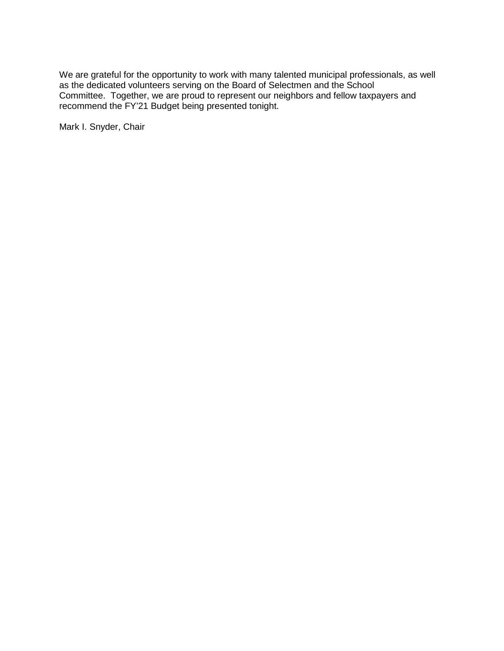We are grateful for the opportunity to work with many talented municipal professionals, as well as the dedicated volunteers serving on the Board of Selectmen and the School Committee. Together, we are proud to represent our neighbors and fellow taxpayers and recommend the FY'21 Budget being presented tonight.

Mark I. Snyder, Chair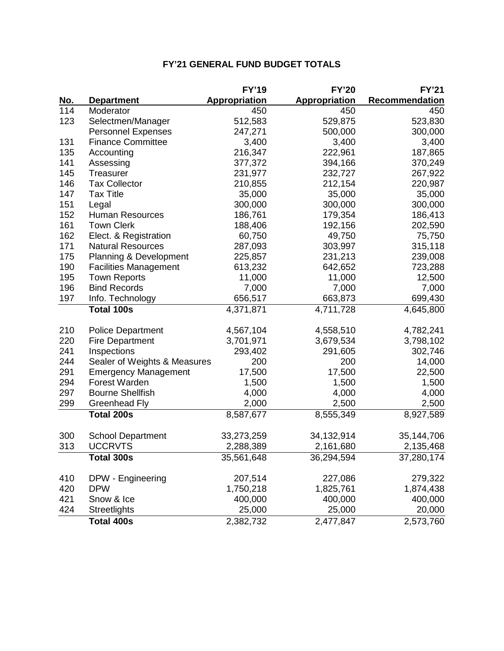|            |                                   | <b>FY'19</b>  | <b>FY'20</b>         | <b>FY'21</b>   |
|------------|-----------------------------------|---------------|----------------------|----------------|
| <u>No.</u> | <b>Department</b>                 | Appropriation | <b>Appropriation</b> | Recommendation |
| 114        | Moderator                         | 450           | 450                  | 450            |
| 123        | Selectmen/Manager                 | 512,583       | 529,875              | 523,830        |
|            | <b>Personnel Expenses</b>         | 247,271       | 500,000              | 300,000        |
| 131        | <b>Finance Committee</b>          | 3,400         | 3,400                | 3,400          |
| 135        | Accounting                        | 216,347       | 222,961              | 187,865        |
| 141        | Assessing                         | 377,372       | 394,166              | 370,249        |
| 145        | Treasurer                         | 231,977       | 232,727              | 267,922        |
| 146        | <b>Tax Collector</b>              | 210,855       | 212,154              | 220,987        |
| 147        | <b>Tax Title</b>                  | 35,000        | 35,000               | 35,000         |
| 151        | Legal                             | 300,000       | 300,000              | 300,000        |
| 152        | Human Resources                   | 186,761       | 179,354              | 186,413        |
| 161        | <b>Town Clerk</b>                 | 188,406       | 192,156              | 202,590        |
| 162        | Elect. & Registration             | 60,750        | 49,750               | 75,750         |
| 171        | <b>Natural Resources</b>          | 287,093       | 303,997              | 315,118        |
| 175        | <b>Planning &amp; Development</b> | 225,857       | 231,213              | 239,008        |
| 190        | <b>Facilities Management</b>      | 613,232       | 642,652              | 723,288        |
| 195        | <b>Town Reports</b>               | 11,000        | 11,000               | 12,500         |
| 196        | <b>Bind Records</b>               | 7,000         | 7,000                | 7,000          |
| 197        | Info. Technology                  | 656,517       | 663,873              | 699,430        |
|            | <b>Total 100s</b>                 | 4,371,871     | 4,711,728            | 4,645,800      |
| 210        | <b>Police Department</b>          | 4,567,104     | 4,558,510            | 4,782,241      |
| 220        | <b>Fire Department</b>            | 3,701,971     | 3,679,534            | 3,798,102      |
| 241        | Inspections                       | 293,402       | 291,605              | 302,746        |
| 244        | Sealer of Weights & Measures      | 200           | 200                  | 14,000         |
| 291        | <b>Emergency Management</b>       | 17,500        | 17,500               | 22,500         |
| 294        | Forest Warden                     | 1,500         | 1,500                | 1,500          |
| 297        | <b>Bourne Shellfish</b>           | 4,000         | 4,000                | 4,000          |
| 299        | <b>Greenhead Fly</b>              | 2,000         | 2,500                | 2,500          |
|            | <b>Total 200s</b>                 | 8,587,677     | 8,555,349            | 8,927,589      |
| 300        | <b>School Department</b>          | 33,273,259    | 34,132,914           | 35,144,706     |
| 313        | <b>UCCRVTS</b>                    | 2,288,389     | 2,161,680            | 2,135,468      |
|            | Total 300s                        | 35,561,648    | 36,294,594           | 37,280,174     |
|            |                                   |               |                      |                |
| 410        | DPW - Engineering                 | 207,514       | 227,086              | 279,322        |
| 420        | <b>DPW</b>                        | 1,750,218     | 1,825,761            | 1,874,438      |
| 421        | Snow & Ice                        | 400,000       | 400,000              | 400,000        |
| 424        | Streetlights                      | 25,000        | 25,000               | 20,000         |
|            | <b>Total 400s</b>                 | 2,382,732     | 2,477,847            | 2,573,760      |

# **FY'21 GENERAL FUND BUDGET TOTALS**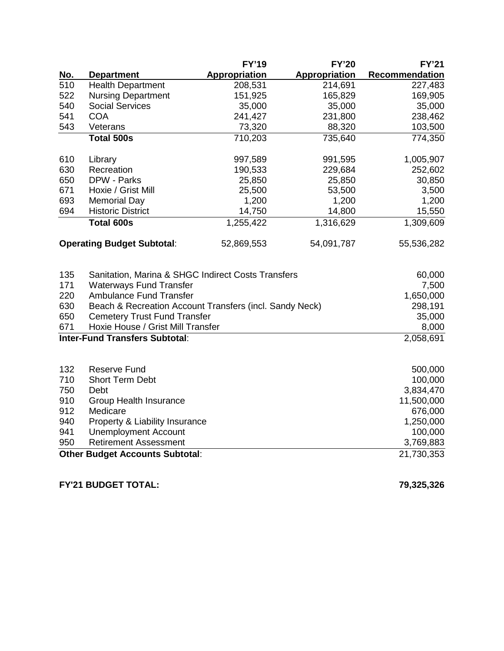|                                   |                                                         | <b>FY'19</b>  | <b>FY'20</b>         | <b>FY'21</b>          |
|-----------------------------------|---------------------------------------------------------|---------------|----------------------|-----------------------|
| <u>No.</u>                        | <b>Department</b>                                       | Appropriation | <b>Appropriation</b> | <b>Recommendation</b> |
| 510                               | <b>Health Department</b>                                | 208,531       | 214,691              | 227,483               |
| 522                               | <b>Nursing Department</b>                               | 151,925       | 165,829              | 169,905               |
| 540                               | <b>Social Services</b>                                  | 35,000        | 35,000               | 35,000                |
| 541                               | <b>COA</b>                                              | 241,427       | 231,800              | 238,462               |
| 543                               | Veterans                                                | 73,320        | 88,320               | 103,500               |
|                                   | <b>Total 500s</b>                                       | 710,203       | 735,640              | 774,350               |
| 610                               | Library                                                 | 997,589       | 991,595              | 1,005,907             |
| 630                               | Recreation                                              | 190,533       | 229,684              | 252,602               |
| 650                               | DPW - Parks                                             | 25,850        | 25,850               | 30,850                |
| 671                               | Hoxie / Grist Mill                                      | 25,500        | 53,500               | 3,500                 |
| 693                               | <b>Memorial Day</b>                                     | 1,200         | 1,200                | 1,200                 |
| 694                               | <b>Historic District</b>                                | 14,750        | 14,800               | 15,550                |
|                                   | <b>Total 600s</b>                                       | 1,255,422     | 1,316,629            | 1,309,609             |
| <b>Operating Budget Subtotal:</b> |                                                         | 52,869,553    | 54,091,787           | 55,536,282            |
| 135                               | Sanitation, Marina & SHGC Indirect Costs Transfers      |               |                      | 60,000                |
| 171                               | <b>Waterways Fund Transfer</b>                          |               |                      | 7,500                 |
| 220                               | <b>Ambulance Fund Transfer</b>                          |               |                      | 1,650,000             |
| 630                               | Beach & Recreation Account Transfers (incl. Sandy Neck) |               |                      | 298,191               |
| 650                               | <b>Cemetery Trust Fund Transfer</b>                     |               |                      | 35,000                |
| 671                               | Hoxie House / Grist Mill Transfer                       |               |                      | 8,000                 |
|                                   | <b>Inter-Fund Transfers Subtotal:</b>                   |               |                      | 2,058,691             |
|                                   |                                                         |               |                      |                       |
| 132                               | <b>Reserve Fund</b>                                     |               |                      | 500,000               |
| 710                               | <b>Short Term Debt</b>                                  |               |                      | 100,000               |
| 750                               | Debt                                                    |               |                      | 3,834,470             |
| 910                               | Group Health Insurance                                  |               |                      | 11,500,000            |
| 912                               | Medicare                                                |               |                      | 676,000               |
| 940                               | Property & Liability Insurance                          |               |                      | 1,250,000             |

 Unemployment Account 100,000 950 Retirement Assessment 3,769,883 **Other Budget Accounts Subtotal**: 21,730,353

**FY'21 BUDGET TOTAL: 79,325,326**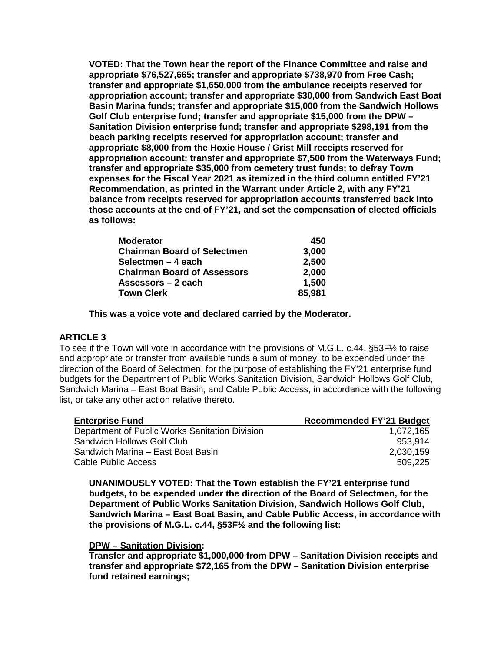**VOTED: That the Town hear the report of the Finance Committee and raise and appropriate \$76,527,665; transfer and appropriate \$738,970 from Free Cash; transfer and appropriate \$1,650,000 from the ambulance receipts reserved for appropriation account; transfer and appropriate \$30,000 from Sandwich East Boat Basin Marina funds; transfer and appropriate \$15,000 from the Sandwich Hollows Golf Club enterprise fund; transfer and appropriate \$15,000 from the DPW – Sanitation Division enterprise fund; transfer and appropriate \$298,191 from the beach parking receipts reserved for appropriation account; transfer and appropriate \$8,000 from the Hoxie House / Grist Mill receipts reserved for appropriation account; transfer and appropriate \$7,500 from the Waterways Fund; transfer and appropriate \$35,000 from cemetery trust funds; to defray Town expenses for the Fiscal Year 2021 as itemized in the third column entitled FY'21 Recommendation, as printed in the Warrant under Article 2, with any FY'21 balance from receipts reserved for appropriation accounts transferred back into those accounts at the end of FY'21, and set the compensation of elected officials as follows:**

| <b>Moderator</b>                   | 450    |
|------------------------------------|--------|
| <b>Chairman Board of Selectmen</b> | 3,000  |
| Selectmen – 4 each                 | 2,500  |
| <b>Chairman Board of Assessors</b> | 2,000  |
| Assessors – 2 each                 | 1,500  |
| <b>Town Clerk</b>                  | 85,981 |

**This was a voice vote and declared carried by the Moderator.**

## **ARTICLE 3**

To see if the Town will vote in accordance with the provisions of M.G.L. c.44, §53F½ to raise and appropriate or transfer from available funds a sum of money, to be expended under the direction of the Board of Selectmen, for the purpose of establishing the FY'21 enterprise fund budgets for the Department of Public Works Sanitation Division, Sandwich Hollows Golf Club, Sandwich Marina – East Boat Basin, and Cable Public Access, in accordance with the following list, or take any other action relative thereto.

| <b>Enterprise Fund</b>                         | <b>Recommended FY'21 Budget</b> |
|------------------------------------------------|---------------------------------|
| Department of Public Works Sanitation Division | 1,072,165                       |
| Sandwich Hollows Golf Club                     | 953.914                         |
| Sandwich Marina - East Boat Basin              | 2,030,159                       |
| Cable Public Access                            | 509,225                         |

**UNANIMOUSLY VOTED: That the Town establish the FY'21 enterprise fund budgets, to be expended under the direction of the Board of Selectmen, for the Department of Public Works Sanitation Division, Sandwich Hollows Golf Club, Sandwich Marina – East Boat Basin, and Cable Public Access, in accordance with the provisions of M.G.L. c.44, §53F½ and the following list:**

#### **DPW – Sanitation Division:**

**Transfer and appropriate \$1,000,000 from DPW – Sanitation Division receipts and transfer and appropriate \$72,165 from the DPW – Sanitation Division enterprise fund retained earnings;**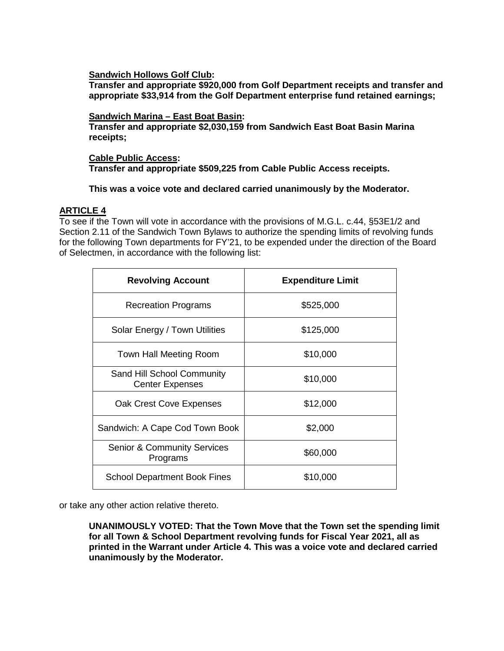**Sandwich Hollows Golf Club:**

**Transfer and appropriate \$920,000 from Golf Department receipts and transfer and appropriate \$33,914 from the Golf Department enterprise fund retained earnings;**

#### **Sandwich Marina – East Boat Basin:**

**Transfer and appropriate \$2,030,159 from Sandwich East Boat Basin Marina receipts;**

#### **Cable Public Access: Transfer and appropriate \$509,225 from Cable Public Access receipts.**

## **This was a voice vote and declared carried unanimously by the Moderator.**

# **ARTICLE 4**

To see if the Town will vote in accordance with the provisions of M.G.L. c.44, §53E1/2 and Section 2.11 of the Sandwich Town Bylaws to authorize the spending limits of revolving funds for the following Town departments for FY'21, to be expended under the direction of the Board of Selectmen, in accordance with the following list:

| <b>Revolving Account</b>                             | <b>Expenditure Limit</b> |
|------------------------------------------------------|--------------------------|
| <b>Recreation Programs</b>                           | \$525,000                |
| Solar Energy / Town Utilities                        | \$125,000                |
| Town Hall Meeting Room                               | \$10,000                 |
| Sand Hill School Community<br><b>Center Expenses</b> | \$10,000                 |
| Oak Crest Cove Expenses                              | \$12,000                 |
| Sandwich: A Cape Cod Town Book                       | \$2,000                  |
| <b>Senior &amp; Community Services</b><br>Programs   | \$60,000                 |
| <b>School Department Book Fines</b>                  | \$10,000                 |

or take any other action relative thereto.

**UNANIMOUSLY VOTED: That the Town Move that the Town set the spending limit for all Town & School Department revolving funds for Fiscal Year 2021, all as printed in the Warrant under Article 4. This was a voice vote and declared carried unanimously by the Moderator.**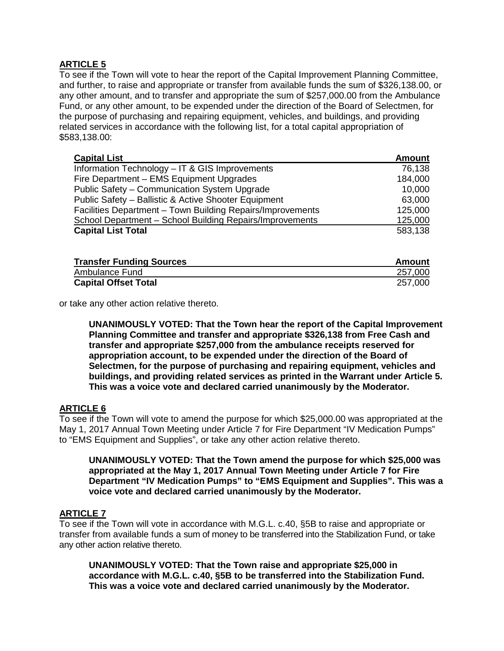# **ARTICLE 5**

To see if the Town will vote to hear the report of the Capital Improvement Planning Committee, and further, to raise and appropriate or transfer from available funds the sum of \$326,138.00, or any other amount, and to transfer and appropriate the sum of \$257,000.00 from the Ambulance Fund, or any other amount, to be expended under the direction of the Board of Selectmen, for the purpose of purchasing and repairing equipment, vehicles, and buildings, and providing related services in accordance with the following list, for a total capital appropriation of \$583,138.00:

| <b>Capital List</b>                                        | <b>Amount</b> |
|------------------------------------------------------------|---------------|
| Information Technology - IT & GIS Improvements             | 76,138        |
| Fire Department - EMS Equipment Upgrades                   | 184,000       |
| Public Safety - Communication System Upgrade               | 10,000        |
| Public Safety - Ballistic & Active Shooter Equipment       | 63,000        |
| Facilities Department - Town Building Repairs/Improvements | 125,000       |
| School Department - School Building Repairs/Improvements   | 125,000       |
| <b>Capital List Total</b>                                  | 583,138       |

| <b>Transfer Funding Sources</b> | Amount  |
|---------------------------------|---------|
| Ambulance Fund                  | 257,000 |
| <b>Capital Offset Total</b>     | 257,000 |

or take any other action relative thereto.

**UNANIMOUSLY VOTED: That the Town hear the report of the Capital Improvement Planning Committee and transfer and appropriate \$326,138 from Free Cash and transfer and appropriate \$257,000 from the ambulance receipts reserved for appropriation account, to be expended under the direction of the Board of Selectmen, for the purpose of purchasing and repairing equipment, vehicles and buildings, and providing related services as printed in the Warrant under Article 5. This was a voice vote and declared carried unanimously by the Moderator.**

## **ARTICLE 6**

To see if the Town will vote to amend the purpose for which \$25,000.00 was appropriated at the May 1, 2017 Annual Town Meeting under Article 7 for Fire Department "IV Medication Pumps" to "EMS Equipment and Supplies", or take any other action relative thereto.

**UNANIMOUSLY VOTED: That the Town amend the purpose for which \$25,000 was appropriated at the May 1, 2017 Annual Town Meeting under Article 7 for Fire Department "IV Medication Pumps" to "EMS Equipment and Supplies". This was a voice vote and declared carried unanimously by the Moderator.**

## **ARTICLE 7**

To see if the Town will vote in accordance with M.G.L. c.40, §5B to raise and appropriate or transfer from available funds a sum of money to be transferred into the Stabilization Fund, or take any other action relative thereto.

**UNANIMOUSLY VOTED: That the Town raise and appropriate \$25,000 in accordance with M.G.L. c.40, §5B to be transferred into the Stabilization Fund. This was a voice vote and declared carried unanimously by the Moderator.**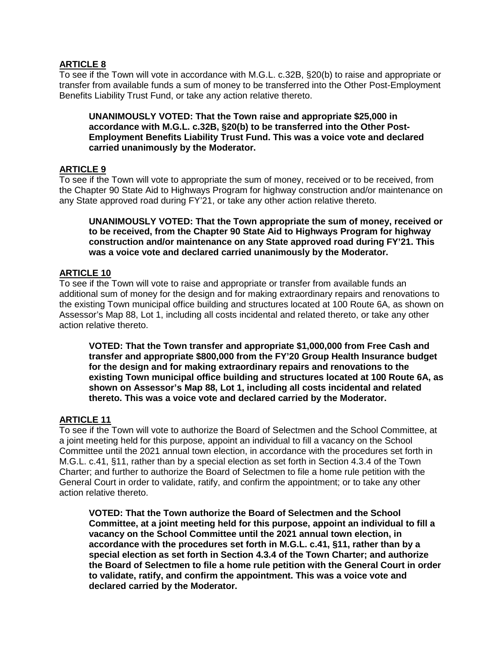# **ARTICLE 8**

To see if the Town will vote in accordance with M.G.L. c.32B, §20(b) to raise and appropriate or transfer from available funds a sum of money to be transferred into the Other Post-Employment Benefits Liability Trust Fund, or take any action relative thereto.

**UNANIMOUSLY VOTED: That the Town raise and appropriate \$25,000 in accordance with M.G.L. c.32B, §20(b) to be transferred into the Other Post-Employment Benefits Liability Trust Fund. This was a voice vote and declared carried unanimously by the Moderator.**

# **ARTICLE 9**

To see if the Town will vote to appropriate the sum of money, received or to be received, from the Chapter 90 State Aid to Highways Program for highway construction and/or maintenance on any State approved road during FY'21, or take any other action relative thereto.

**UNANIMOUSLY VOTED: That the Town appropriate the sum of money, received or to be received, from the Chapter 90 State Aid to Highways Program for highway construction and/or maintenance on any State approved road during FY'21. This was a voice vote and declared carried unanimously by the Moderator.**

# **ARTICLE 10**

To see if the Town will vote to raise and appropriate or transfer from available funds an additional sum of money for the design and for making extraordinary repairs and renovations to the existing Town municipal office building and structures located at 100 Route 6A, as shown on Assessor's Map 88, Lot 1, including all costs incidental and related thereto, or take any other action relative thereto.

**VOTED: That the Town transfer and appropriate \$1,000,000 from Free Cash and transfer and appropriate \$800,000 from the FY'20 Group Health Insurance budget for the design and for making extraordinary repairs and renovations to the existing Town municipal office building and structures located at 100 Route 6A, as shown on Assessor's Map 88, Lot 1, including all costs incidental and related thereto. This was a voice vote and declared carried by the Moderator.**

## **ARTICLE 11**

To see if the Town will vote to authorize the Board of Selectmen and the School Committee, at a joint meeting held for this purpose, appoint an individual to fill a vacancy on the School Committee until the 2021 annual town election, in accordance with the procedures set forth in M.G.L. c.41, §11, rather than by a special election as set forth in Section 4.3.4 of the Town Charter; and further to authorize the Board of Selectmen to file a home rule petition with the General Court in order to validate, ratify, and confirm the appointment; or to take any other action relative thereto.

**VOTED: That the Town authorize the Board of Selectmen and the School Committee, at a joint meeting held for this purpose, appoint an individual to fill a vacancy on the School Committee until the 2021 annual town election, in accordance with the procedures set forth in M.G.L. c.41, §11, rather than by a special election as set forth in Section 4.3.4 of the Town Charter; and authorize the Board of Selectmen to file a home rule petition with the General Court in order to validate, ratify, and confirm the appointment. This was a voice vote and declared carried by the Moderator.**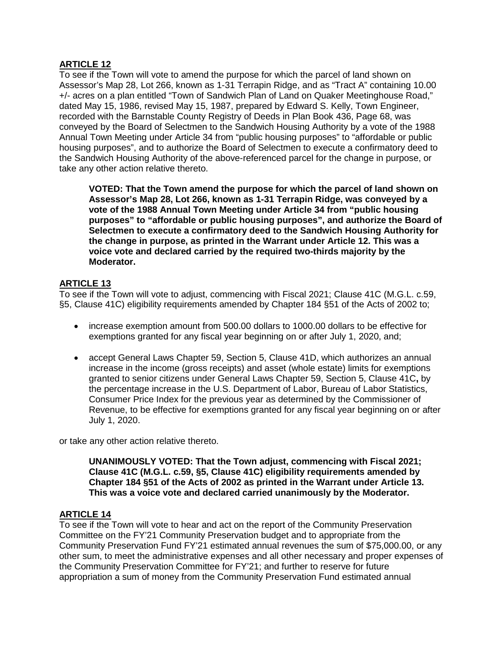# **ARTICLE 12**

To see if the Town will vote to amend the purpose for which the parcel of land shown on Assessor's Map 28, Lot 266, known as 1-31 Terrapin Ridge, and as "Tract A" containing 10.00 +/- acres on a plan entitled "Town of Sandwich Plan of Land on Quaker Meetinghouse Road," dated May 15, 1986, revised May 15, 1987, prepared by Edward S. Kelly, Town Engineer, recorded with the Barnstable County Registry of Deeds in Plan Book 436, Page 68, was conveyed by the Board of Selectmen to the Sandwich Housing Authority by a vote of the 1988 Annual Town Meeting under Article 34 from "public housing purposes" to "affordable or public housing purposes", and to authorize the Board of Selectmen to execute a confirmatory deed to the Sandwich Housing Authority of the above-referenced parcel for the change in purpose, or take any other action relative thereto.

**VOTED: That the Town amend the purpose for which the parcel of land shown on Assessor's Map 28, Lot 266, known as 1-31 Terrapin Ridge, was conveyed by a vote of the 1988 Annual Town Meeting under Article 34 from "public housing purposes" to "affordable or public housing purposes", and authorize the Board of Selectmen to execute a confirmatory deed to the Sandwich Housing Authority for the change in purpose, as printed in the Warrant under Article 12. This was a voice vote and declared carried by the required two-thirds majority by the Moderator.**

# **ARTICLE 13**

To see if the Town will vote to adjust, commencing with Fiscal 2021; Clause 41C (M.G.L. c.59, §5, Clause 41C) eligibility requirements amended by Chapter 184 §51 of the Acts of 2002 to;

- increase exemption amount from 500.00 dollars to 1000.00 dollars to be effective for exemptions granted for any fiscal year beginning on or after July 1, 2020, and;
- accept General Laws Chapter 59, Section 5, Clause 41D, which authorizes an annual increase in the income (gross receipts) and asset (whole estate) limits for exemptions granted to senior citizens under General Laws Chapter 59, Section 5, Clause 41C**,** by the percentage increase in the U.S. Department of Labor, Bureau of Labor Statistics, Consumer Price Index for the previous year as determined by the Commissioner of Revenue, to be effective for exemptions granted for any fiscal year beginning on or after July 1, 2020.

or take any other action relative thereto.

**UNANIMOUSLY VOTED: That the Town adjust, commencing with Fiscal 2021; Clause 41C (M.G.L. c.59, §5, Clause 41C) eligibility requirements amended by Chapter 184 §51 of the Acts of 2002 as printed in the Warrant under Article 13. This was a voice vote and declared carried unanimously by the Moderator.**

# **ARTICLE 14**

To see if the Town will vote to hear and act on the report of the Community Preservation Committee on the FY'21 Community Preservation budget and to appropriate from the Community Preservation Fund FY'21 estimated annual revenues the sum of \$75,000.00, or any other sum, to meet the administrative expenses and all other necessary and proper expenses of the Community Preservation Committee for FY'21; and further to reserve for future appropriation a sum of money from the Community Preservation Fund estimated annual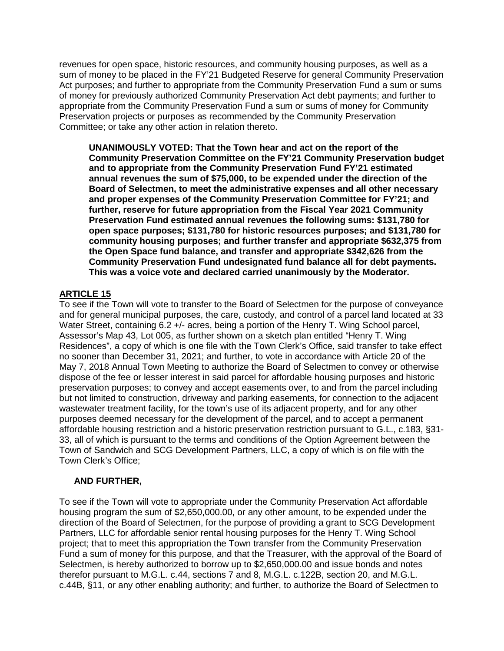revenues for open space, historic resources, and community housing purposes, as well as a sum of money to be placed in the FY'21 Budgeted Reserve for general Community Preservation Act purposes; and further to appropriate from the Community Preservation Fund a sum or sums of money for previously authorized Community Preservation Act debt payments; and further to appropriate from the Community Preservation Fund a sum or sums of money for Community Preservation projects or purposes as recommended by the Community Preservation Committee; or take any other action in relation thereto.

**UNANIMOUSLY VOTED: That the Town hear and act on the report of the Community Preservation Committee on the FY'21 Community Preservation budget and to appropriate from the Community Preservation Fund FY'21 estimated annual revenues the sum of \$75,000, to be expended under the direction of the Board of Selectmen, to meet the administrative expenses and all other necessary and proper expenses of the Community Preservation Committee for FY'21; and further, reserve for future appropriation from the Fiscal Year 2021 Community Preservation Fund estimated annual revenues the following sums: \$131,780 for open space purposes; \$131,780 for historic resources purposes; and \$131,780 for community housing purposes; and further transfer and appropriate \$632,375 from the Open Space fund balance, and transfer and appropriate \$342,626 from the Community Preservation Fund undesignated fund balance all for debt payments. This was a voice vote and declared carried unanimously by the Moderator.**

# **ARTICLE 15**

To see if the Town will vote to transfer to the Board of Selectmen for the purpose of conveyance and for general municipal purposes, the care, custody, and control of a parcel land located at 33 Water Street, containing 6.2 +/- acres, being a portion of the Henry T. Wing School parcel, Assessor's Map 43, Lot 005, as further shown on a sketch plan entitled "Henry T. Wing Residences", a copy of which is one file with the Town Clerk's Office, said transfer to take effect no sooner than December 31, 2021; and further, to vote in accordance with Article 20 of the May 7, 2018 Annual Town Meeting to authorize the Board of Selectmen to convey or otherwise dispose of the fee or lesser interest in said parcel for affordable housing purposes and historic preservation purposes; to convey and accept easements over, to and from the parcel including but not limited to construction, driveway and parking easements, for connection to the adjacent wastewater treatment facility, for the town's use of its adjacent property, and for any other purposes deemed necessary for the development of the parcel, and to accept a permanent affordable housing restriction and a historic preservation restriction pursuant to G.L., c.183, §31- 33, all of which is pursuant to the terms and conditions of the Option Agreement between the Town of Sandwich and SCG Development Partners, LLC, a copy of which is on file with the Town Clerk's Office;

# **AND FURTHER,**

To see if the Town will vote to appropriate under the Community Preservation Act affordable housing program the sum of \$2,650,000.00, or any other amount, to be expended under the direction of the Board of Selectmen, for the purpose of providing a grant to SCG Development Partners, LLC for affordable senior rental housing purposes for the Henry T. Wing School project; that to meet this appropriation the Town transfer from the Community Preservation Fund a sum of money for this purpose, and that the Treasurer, with the approval of the Board of Selectmen, is hereby authorized to borrow up to \$2,650,000.00 and issue bonds and notes therefor pursuant to M.G.L. c.44, sections 7 and 8, M.G.L. c.122B, section 20, and M.G.L. c.44B, §11, or any other enabling authority; and further, to authorize the Board of Selectmen to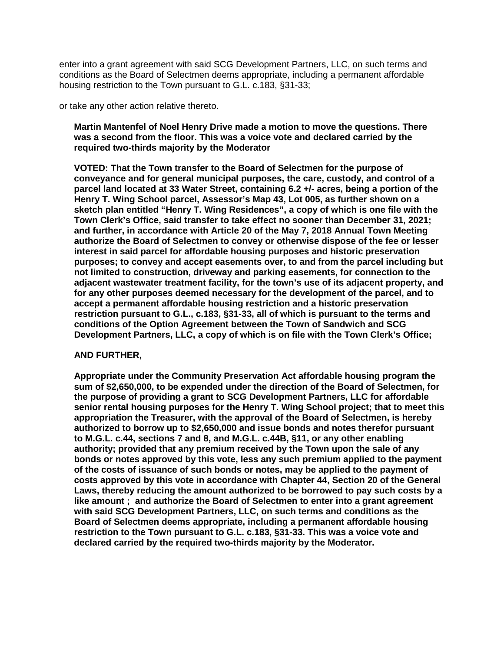enter into a grant agreement with said SCG Development Partners, LLC, on such terms and conditions as the Board of Selectmen deems appropriate, including a permanent affordable housing restriction to the Town pursuant to G.L. c.183, §31-33;

or take any other action relative thereto.

**Martin Mantenfel of Noel Henry Drive made a motion to move the questions. There was a second from the floor. This was a voice vote and declared carried by the required two-thirds majority by the Moderator**

**VOTED: That the Town transfer to the Board of Selectmen for the purpose of conveyance and for general municipal purposes, the care, custody, and control of a parcel land located at 33 Water Street, containing 6.2 +/- acres, being a portion of the Henry T. Wing School parcel, Assessor's Map 43, Lot 005, as further shown on a sketch plan entitled "Henry T. Wing Residences", a copy of which is one file with the Town Clerk's Office, said transfer to take effect no sooner than December 31, 2021; and further, in accordance with Article 20 of the May 7, 2018 Annual Town Meeting authorize the Board of Selectmen to convey or otherwise dispose of the fee or lesser interest in said parcel for affordable housing purposes and historic preservation purposes; to convey and accept easements over, to and from the parcel including but not limited to construction, driveway and parking easements, for connection to the adjacent wastewater treatment facility, for the town's use of its adjacent property, and for any other purposes deemed necessary for the development of the parcel, and to accept a permanent affordable housing restriction and a historic preservation restriction pursuant to G.L., c.183, §31-33, all of which is pursuant to the terms and conditions of the Option Agreement between the Town of Sandwich and SCG Development Partners, LLC, a copy of which is on file with the Town Clerk's Office;**

#### **AND FURTHER,**

**Appropriate under the Community Preservation Act affordable housing program the sum of \$2,650,000, to be expended under the direction of the Board of Selectmen, for the purpose of providing a grant to SCG Development Partners, LLC for affordable senior rental housing purposes for the Henry T. Wing School project; that to meet this appropriation the Treasurer, with the approval of the Board of Selectmen, is hereby authorized to borrow up to \$2,650,000 and issue bonds and notes therefor pursuant to M.G.L. c.44, sections 7 and 8, and M.G.L. c.44B, §11, or any other enabling authority; provided that any premium received by the Town upon the sale of any bonds or notes approved by this vote, less any such premium applied to the payment of the costs of issuance of such bonds or notes, may be applied to the payment of costs approved by this vote in accordance with Chapter 44, Section 20 of the General Laws, thereby reducing the amount authorized to be borrowed to pay such costs by a like amount ; and authorize the Board of Selectmen to enter into a grant agreement with said SCG Development Partners, LLC, on such terms and conditions as the Board of Selectmen deems appropriate, including a permanent affordable housing restriction to the Town pursuant to G.L. c.183, §31-33. This was a voice vote and declared carried by the required two-thirds majority by the Moderator.**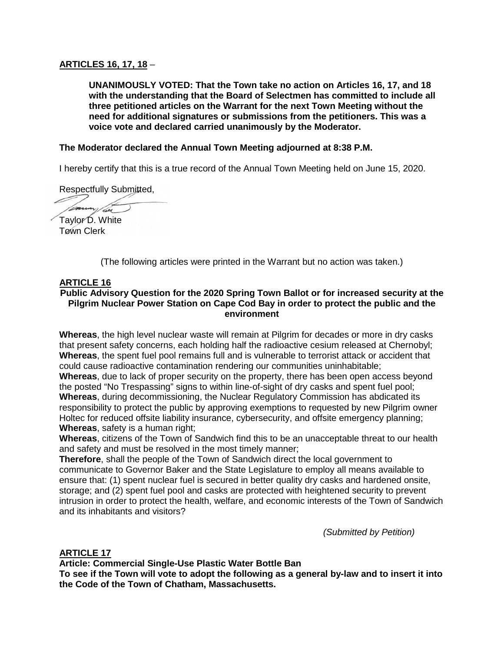## **ARTICLES 16, 17, 18** –

**UNANIMOUSLY VOTED: That the Town take no action on Articles 16, 17, and 18 with the understanding that the Board of Selectmen has committed to include all three petitioned articles on the Warrant for the next Town Meeting without the need for additional signatures or submissions from the petitioners. This was a voice vote and declared carried unanimously by the Moderator.**

## **The Moderator declared the Annual Town Meeting adjourned at 8:38 P.M.**

I hereby certify that this is a true record of the Annual Town Meeting held on June 15, 2020.

Respectfully Submitted,

vi/2 Taylor D. White

Town Clerk

(The following articles were printed in the Warrant but no action was taken.)

## **ARTICLE 16**

## **Public Advisory Question for the 2020 Spring Town Ballot or for increased security at the Pilgrim Nuclear Power Station on Cape Cod Bay in order to protect the public and the environment**

**Whereas**, the high level nuclear waste will remain at Pilgrim for decades or more in dry casks that present safety concerns, each holding half the radioactive cesium released at Chernobyl; **Whereas**, the spent fuel pool remains full and is vulnerable to terrorist attack or accident that could cause radioactive contamination rendering our communities uninhabitable;

**Whereas**, due to lack of proper security on the property, there has been open access beyond the posted "No Trespassing" signs to within line-of-sight of dry casks and spent fuel pool; **Whereas**, during decommissioning, the Nuclear Regulatory Commission has abdicated its responsibility to protect the public by approving exemptions to requested by new Pilgrim owner Holtec for reduced offsite liability insurance, cybersecurity, and offsite emergency planning; **Whereas**, safety is a human right;

**Whereas**, citizens of the Town of Sandwich find this to be an unacceptable threat to our health and safety and must be resolved in the most timely manner;

**Therefore**, shall the people of the Town of Sandwich direct the local government to communicate to Governor Baker and the State Legislature to employ all means available to ensure that: (1) spent nuclear fuel is secured in better quality dry casks and hardened onsite, storage; and (2) spent fuel pool and casks are protected with heightened security to prevent intrusion in order to protect the health, welfare, and economic interests of the Town of Sandwich and its inhabitants and visitors?

*(Submitted by Petition)*

## **ARTICLE 17**

**Article: Commercial Single-Use Plastic Water Bottle Ban**

**To see if the Town will vote to adopt the following as a general by-law and to insert it into the Code of the Town of Chatham, Massachusetts.**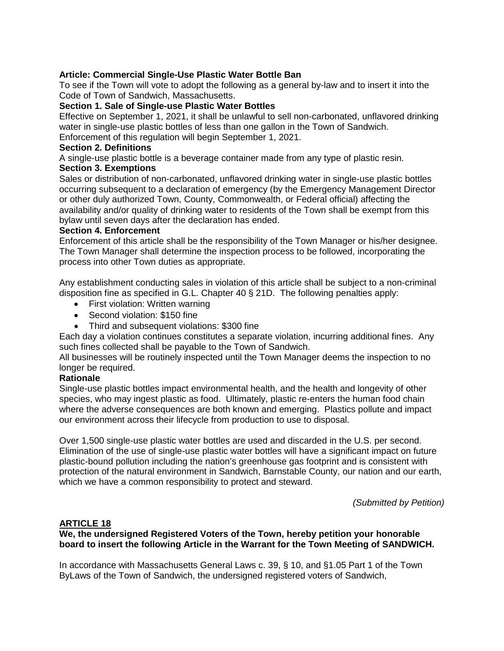## **Article: Commercial Single-Use Plastic Water Bottle Ban**

To see if the Town will vote to adopt the following as a general by-law and to insert it into the Code of Town of Sandwich, Massachusetts.

#### **Section 1. Sale of Single-use Plastic Water Bottles**

Effective on September 1, 2021, it shall be unlawful to sell non-carbonated, unflavored drinking water in single-use plastic bottles of less than one gallon in the Town of Sandwich.

Enforcement of this regulation will begin September 1, 2021.

#### **Section 2. Definitions**

A single-use plastic bottle is a beverage container made from any type of plastic resin.

## **Section 3. Exemptions**

Sales or distribution of non-carbonated, unflavored drinking water in single-use plastic bottles occurring subsequent to a declaration of emergency (by the Emergency Management Director or other duly authorized Town, County, Commonwealth, or Federal official) affecting the availability and/or quality of drinking water to residents of the Town shall be exempt from this bylaw until seven days after the declaration has ended.

#### **Section 4. Enforcement**

Enforcement of this article shall be the responsibility of the Town Manager or his/her designee. The Town Manager shall determine the inspection process to be followed, incorporating the process into other Town duties as appropriate.

Any establishment conducting sales in violation of this article shall be subject to a non-criminal disposition fine as specified in G.L. Chapter 40 § 21D. The following penalties apply:

- First violation: Written warning
- Second violation: \$150 fine
- Third and subsequent violations: \$300 fine

Each day a violation continues constitutes a separate violation, incurring additional fines. Any such fines collected shall be payable to the Town of Sandwich.

All businesses will be routinely inspected until the Town Manager deems the inspection to no longer be required.

## **Rationale**

Single-use plastic bottles impact environmental health, and the health and longevity of other species, who may ingest plastic as food. Ultimately, plastic re-enters the human food chain where the adverse consequences are both known and emerging. Plastics pollute and impact our environment across their lifecycle from production to use to disposal.

Over 1,500 single-use plastic water bottles are used and discarded in the U.S. per second. Elimination of the use of single-use plastic water bottles will have a significant impact on future plastic-bound pollution including the nation's greenhouse gas footprint and is consistent with protection of the natural environment in Sandwich, Barnstable County, our nation and our earth, which we have a common responsibility to protect and steward.

*(Submitted by Petition)*

## **ARTICLE 18**

**We, the undersigned Registered Voters of the Town, hereby petition your honorable board to insert the following Article in the Warrant for the Town Meeting of SANDWICH.**

In accordance with Massachusetts General Laws c. 39, § 10, and §1.05 Part 1 of the Town ByLaws of the Town of Sandwich, the undersigned registered voters of Sandwich,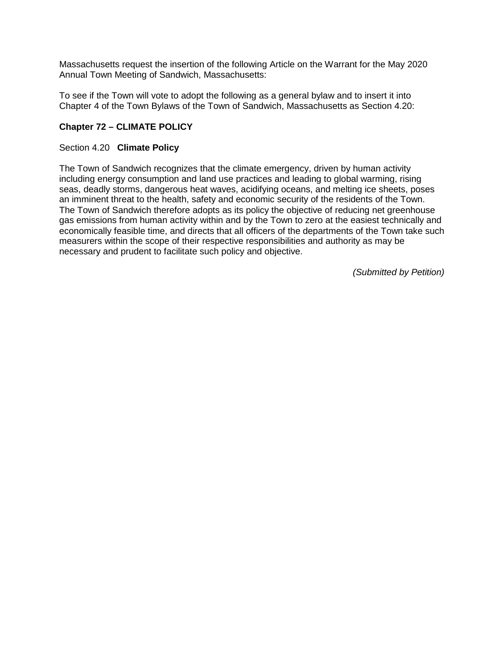Massachusetts request the insertion of the following Article on the Warrant for the May 2020 Annual Town Meeting of Sandwich, Massachusetts:

To see if the Town will vote to adopt the following as a general bylaw and to insert it into Chapter 4 of the Town Bylaws of the Town of Sandwich, Massachusetts as Section 4.20:

# **Chapter 72 – CLIMATE POLICY**

# Section 4.20 **Climate Policy**

The Town of Sandwich recognizes that the climate emergency, driven by human activity including energy consumption and land use practices and leading to global warming, rising seas, deadly storms, dangerous heat waves, acidifying oceans, and melting ice sheets, poses an imminent threat to the health, safety and economic security of the residents of the Town. The Town of Sandwich therefore adopts as its policy the objective of reducing net greenhouse gas emissions from human activity within and by the Town to zero at the easiest technically and economically feasible time, and directs that all officers of the departments of the Town take such measurers within the scope of their respective responsibilities and authority as may be necessary and prudent to facilitate such policy and objective.

*(Submitted by Petition)*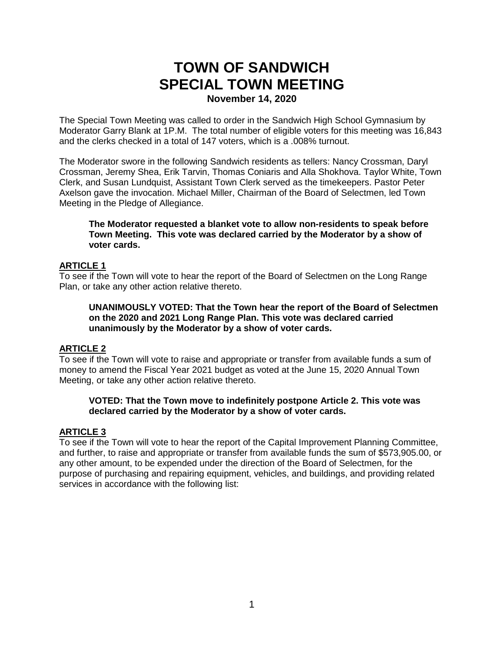# **TOWN OF SANDWICH SPECIAL TOWN MEETING November 14, 2020**

The Special Town Meeting was called to order in the Sandwich High School Gymnasium by Moderator Garry Blank at 1P.M. The total number of eligible voters for this meeting was 16,843 and the clerks checked in a total of 147 voters, which is a .008% turnout.

The Moderator swore in the following Sandwich residents as tellers: Nancy Crossman, Daryl Crossman, Jeremy Shea, Erik Tarvin, Thomas Coniaris and Alla Shokhova. Taylor White, Town Clerk, and Susan Lundquist, Assistant Town Clerk served as the timekeepers. Pastor Peter Axelson gave the invocation. Michael Miller, Chairman of the Board of Selectmen, led Town Meeting in the Pledge of Allegiance.

#### **The Moderator requested a blanket vote to allow non-residents to speak before Town Meeting. This vote was declared carried by the Moderator by a show of voter cards.**

## **ARTICLE 1**

To see if the Town will vote to hear the report of the Board of Selectmen on the Long Range Plan, or take any other action relative thereto.

**UNANIMOUSLY VOTED: That the Town hear the report of the Board of Selectmen on the 2020 and 2021 Long Range Plan. This vote was declared carried unanimously by the Moderator by a show of voter cards.**

## **ARTICLE 2**

To see if the Town will vote to raise and appropriate or transfer from available funds a sum of money to amend the Fiscal Year 2021 budget as voted at the June 15, 2020 Annual Town Meeting, or take any other action relative thereto.

#### **VOTED: That the Town move to indefinitely postpone Article 2. This vote was declared carried by the Moderator by a show of voter cards.**

## **ARTICLE 3**

To see if the Town will vote to hear the report of the Capital Improvement Planning Committee, and further, to raise and appropriate or transfer from available funds the sum of \$573,905.00, or any other amount, to be expended under the direction of the Board of Selectmen, for the purpose of purchasing and repairing equipment, vehicles, and buildings, and providing related services in accordance with the following list: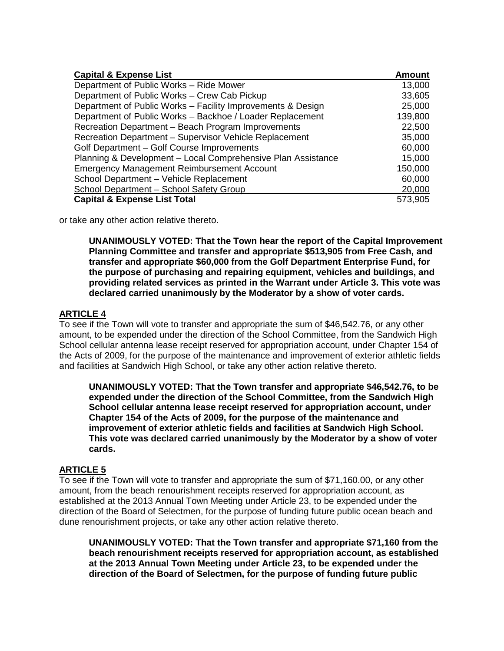| <b>Capital &amp; Expense List</b>                            | <b>Amount</b> |
|--------------------------------------------------------------|---------------|
| Department of Public Works - Ride Mower                      | 13,000        |
| Department of Public Works - Crew Cab Pickup                 | 33,605        |
| Department of Public Works - Facility Improvements & Design  | 25,000        |
| Department of Public Works - Backhoe / Loader Replacement    | 139,800       |
| Recreation Department - Beach Program Improvements           | 22,500        |
| Recreation Department - Supervisor Vehicle Replacement       | 35,000        |
| Golf Department - Golf Course Improvements                   | 60,000        |
| Planning & Development - Local Comprehensive Plan Assistance | 15,000        |
| <b>Emergency Management Reimbursement Account</b>            | 150,000       |
| School Department - Vehicle Replacement                      | 60,000        |
| School Department - School Safety Group                      | 20,000        |
| <b>Capital &amp; Expense List Total</b>                      | 573,905       |

or take any other action relative thereto.

**UNANIMOUSLY VOTED: That the Town hear the report of the Capital Improvement Planning Committee and transfer and appropriate \$513,905 from Free Cash, and transfer and appropriate \$60,000 from the Golf Department Enterprise Fund, for the purpose of purchasing and repairing equipment, vehicles and buildings, and providing related services as printed in the Warrant under Article 3. This vote was declared carried unanimously by the Moderator by a show of voter cards.**

## **ARTICLE 4**

To see if the Town will vote to transfer and appropriate the sum of \$46,542.76, or any other amount, to be expended under the direction of the School Committee, from the Sandwich High School cellular antenna lease receipt reserved for appropriation account, under Chapter 154 of the Acts of 2009, for the purpose of the maintenance and improvement of exterior athletic fields and facilities at Sandwich High School, or take any other action relative thereto.

**UNANIMOUSLY VOTED: That the Town transfer and appropriate \$46,542.76, to be expended under the direction of the School Committee, from the Sandwich High School cellular antenna lease receipt reserved for appropriation account, under Chapter 154 of the Acts of 2009, for the purpose of the maintenance and improvement of exterior athletic fields and facilities at Sandwich High School. This vote was declared carried unanimously by the Moderator by a show of voter cards.**

## **ARTICLE 5**

To see if the Town will vote to transfer and appropriate the sum of \$71,160.00, or any other amount, from the beach renourishment receipts reserved for appropriation account, as established at the 2013 Annual Town Meeting under Article 23, to be expended under the direction of the Board of Selectmen, for the purpose of funding future public ocean beach and dune renourishment projects, or take any other action relative thereto.

**UNANIMOUSLY VOTED: That the Town transfer and appropriate \$71,160 from the beach renourishment receipts reserved for appropriation account, as established at the 2013 Annual Town Meeting under Article 23, to be expended under the direction of the Board of Selectmen, for the purpose of funding future public**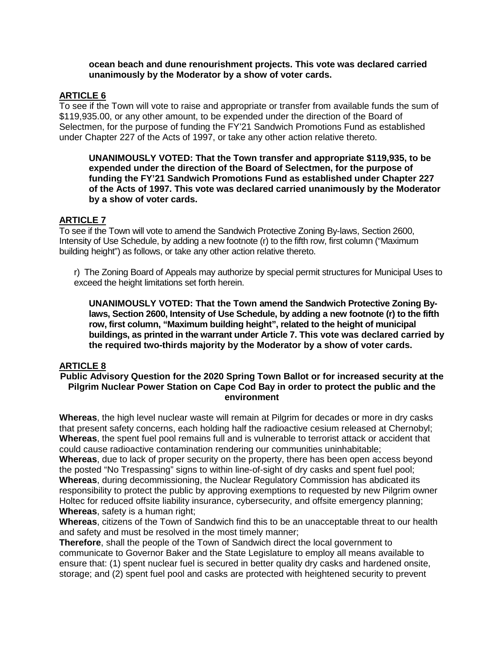#### **ocean beach and dune renourishment projects. This vote was declared carried unanimously by the Moderator by a show of voter cards.**

## **ARTICLE 6**

To see if the Town will vote to raise and appropriate or transfer from available funds the sum of \$119,935.00, or any other amount, to be expended under the direction of the Board of Selectmen, for the purpose of funding the FY'21 Sandwich Promotions Fund as established under Chapter 227 of the Acts of 1997, or take any other action relative thereto.

**UNANIMOUSLY VOTED: That the Town transfer and appropriate \$119,935, to be expended under the direction of the Board of Selectmen, for the purpose of funding the FY'21 Sandwich Promotions Fund as established under Chapter 227 of the Acts of 1997. This vote was declared carried unanimously by the Moderator by a show of voter cards.**

# **ARTICLE 7**

To see if the Town will vote to amend the Sandwich Protective Zoning By-laws, Section 2600, Intensity of Use Schedule, by adding a new footnote (r) to the fifth row, first column ("Maximum building height") as follows, or take any other action relative thereto.

r) The Zoning Board of Appeals may authorize by special permit structures for Municipal Uses to exceed the height limitations set forth herein.

**UNANIMOUSLY VOTED: That the Town amend the Sandwich Protective Zoning Bylaws, Section 2600, Intensity of Use Schedule, by adding a new footnote (r) to the fifth row, first column, "Maximum building height", related to the height of municipal buildings, as printed in the warrant under Article 7. This vote was declared carried by the required two-thirds majority by the Moderator by a show of voter cards.**

# **ARTICLE 8**

## **Public Advisory Question for the 2020 Spring Town Ballot or for increased security at the Pilgrim Nuclear Power Station on Cape Cod Bay in order to protect the public and the environment**

**Whereas**, the high level nuclear waste will remain at Pilgrim for decades or more in dry casks that present safety concerns, each holding half the radioactive cesium released at Chernobyl; **Whereas**, the spent fuel pool remains full and is vulnerable to terrorist attack or accident that could cause radioactive contamination rendering our communities uninhabitable;

**Whereas**, due to lack of proper security on the property, there has been open access beyond the posted "No Trespassing" signs to within line-of-sight of dry casks and spent fuel pool; **Whereas**, during decommissioning, the Nuclear Regulatory Commission has abdicated its responsibility to protect the public by approving exemptions to requested by new Pilgrim owner Holtec for reduced offsite liability insurance, cybersecurity, and offsite emergency planning; **Whereas**, safety is a human right;

**Whereas**, citizens of the Town of Sandwich find this to be an unacceptable threat to our health and safety and must be resolved in the most timely manner;

**Therefore**, shall the people of the Town of Sandwich direct the local government to communicate to Governor Baker and the State Legislature to employ all means available to ensure that: (1) spent nuclear fuel is secured in better quality dry casks and hardened onsite, storage; and (2) spent fuel pool and casks are protected with heightened security to prevent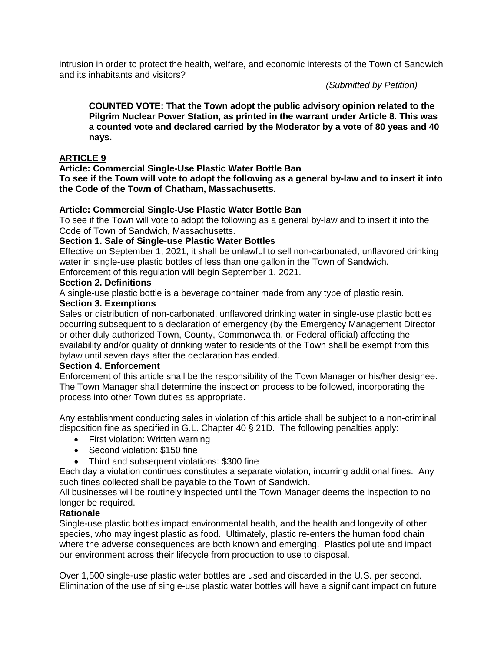intrusion in order to protect the health, welfare, and economic interests of the Town of Sandwich and its inhabitants and visitors?

*(Submitted by Petition)*

**COUNTED VOTE: That the Town adopt the public advisory opinion related to the Pilgrim Nuclear Power Station, as printed in the warrant under Article 8. This was a counted vote and declared carried by the Moderator by a vote of 80 yeas and 40 nays.**

# **ARTICLE 9**

**Article: Commercial Single-Use Plastic Water Bottle Ban**

**To see if the Town will vote to adopt the following as a general by-law and to insert it into the Code of the Town of Chatham, Massachusetts.**

#### **Article: Commercial Single-Use Plastic Water Bottle Ban**

To see if the Town will vote to adopt the following as a general by-law and to insert it into the Code of Town of Sandwich, Massachusetts.

#### **Section 1. Sale of Single-use Plastic Water Bottles**

Effective on September 1, 2021, it shall be unlawful to sell non-carbonated, unflavored drinking water in single-use plastic bottles of less than one gallon in the Town of Sandwich.

Enforcement of this regulation will begin September 1, 2021.

#### **Section 2. Definitions**

A single-use plastic bottle is a beverage container made from any type of plastic resin.

#### **Section 3. Exemptions**

Sales or distribution of non-carbonated, unflavored drinking water in single-use plastic bottles occurring subsequent to a declaration of emergency (by the Emergency Management Director or other duly authorized Town, County, Commonwealth, or Federal official) affecting the availability and/or quality of drinking water to residents of the Town shall be exempt from this bylaw until seven days after the declaration has ended.

#### **Section 4. Enforcement**

Enforcement of this article shall be the responsibility of the Town Manager or his/her designee. The Town Manager shall determine the inspection process to be followed, incorporating the process into other Town duties as appropriate.

Any establishment conducting sales in violation of this article shall be subject to a non-criminal disposition fine as specified in G.L. Chapter 40 § 21D. The following penalties apply:

- First violation: Written warning
- Second violation: \$150 fine
- Third and subsequent violations: \$300 fine

Each day a violation continues constitutes a separate violation, incurring additional fines. Any such fines collected shall be payable to the Town of Sandwich.

All businesses will be routinely inspected until the Town Manager deems the inspection to no longer be required.

## **Rationale**

Single-use plastic bottles impact environmental health, and the health and longevity of other species, who may ingest plastic as food. Ultimately, plastic re-enters the human food chain where the adverse consequences are both known and emerging. Plastics pollute and impact our environment across their lifecycle from production to use to disposal.

Over 1,500 single-use plastic water bottles are used and discarded in the U.S. per second. Elimination of the use of single-use plastic water bottles will have a significant impact on future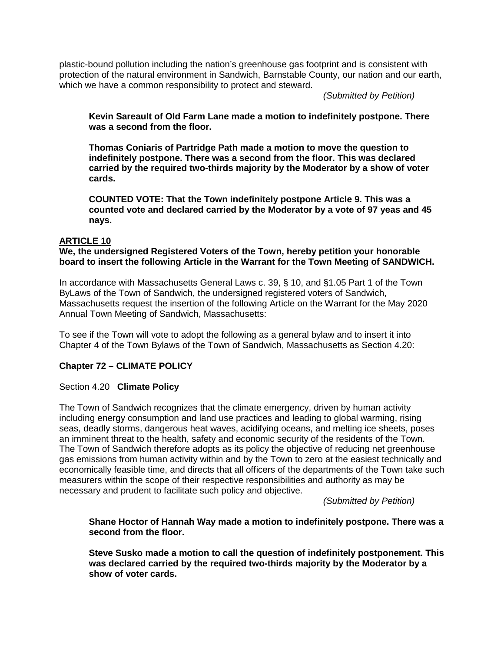plastic-bound pollution including the nation's greenhouse gas footprint and is consistent with protection of the natural environment in Sandwich, Barnstable County, our nation and our earth, which we have a common responsibility to protect and steward.

*(Submitted by Petition)*

**Kevin Sareault of Old Farm Lane made a motion to indefinitely postpone. There was a second from the floor.** 

**Thomas Coniaris of Partridge Path made a motion to move the question to indefinitely postpone. There was a second from the floor. This was declared carried by the required two-thirds majority by the Moderator by a show of voter cards.**

**COUNTED VOTE: That the Town indefinitely postpone Article 9. This was a counted vote and declared carried by the Moderator by a vote of 97 yeas and 45 nays.**

#### **ARTICLE 10**

#### **We, the undersigned Registered Voters of the Town, hereby petition your honorable board to insert the following Article in the Warrant for the Town Meeting of SANDWICH.**

In accordance with Massachusetts General Laws c. 39, § 10, and §1.05 Part 1 of the Town ByLaws of the Town of Sandwich, the undersigned registered voters of Sandwich, Massachusetts request the insertion of the following Article on the Warrant for the May 2020 Annual Town Meeting of Sandwich, Massachusetts:

To see if the Town will vote to adopt the following as a general bylaw and to insert it into Chapter 4 of the Town Bylaws of the Town of Sandwich, Massachusetts as Section 4.20:

## **Chapter 72 – CLIMATE POLICY**

#### Section 4.20 **Climate Policy**

The Town of Sandwich recognizes that the climate emergency, driven by human activity including energy consumption and land use practices and leading to global warming, rising seas, deadly storms, dangerous heat waves, acidifying oceans, and melting ice sheets, poses an imminent threat to the health, safety and economic security of the residents of the Town. The Town of Sandwich therefore adopts as its policy the objective of reducing net greenhouse gas emissions from human activity within and by the Town to zero at the easiest technically and economically feasible time, and directs that all officers of the departments of the Town take such measurers within the scope of their respective responsibilities and authority as may be necessary and prudent to facilitate such policy and objective.

*(Submitted by Petition)*

#### **Shane Hoctor of Hannah Way made a motion to indefinitely postpone. There was a second from the floor.**

**Steve Susko made a motion to call the question of indefinitely postponement. This was declared carried by the required two-thirds majority by the Moderator by a show of voter cards.**